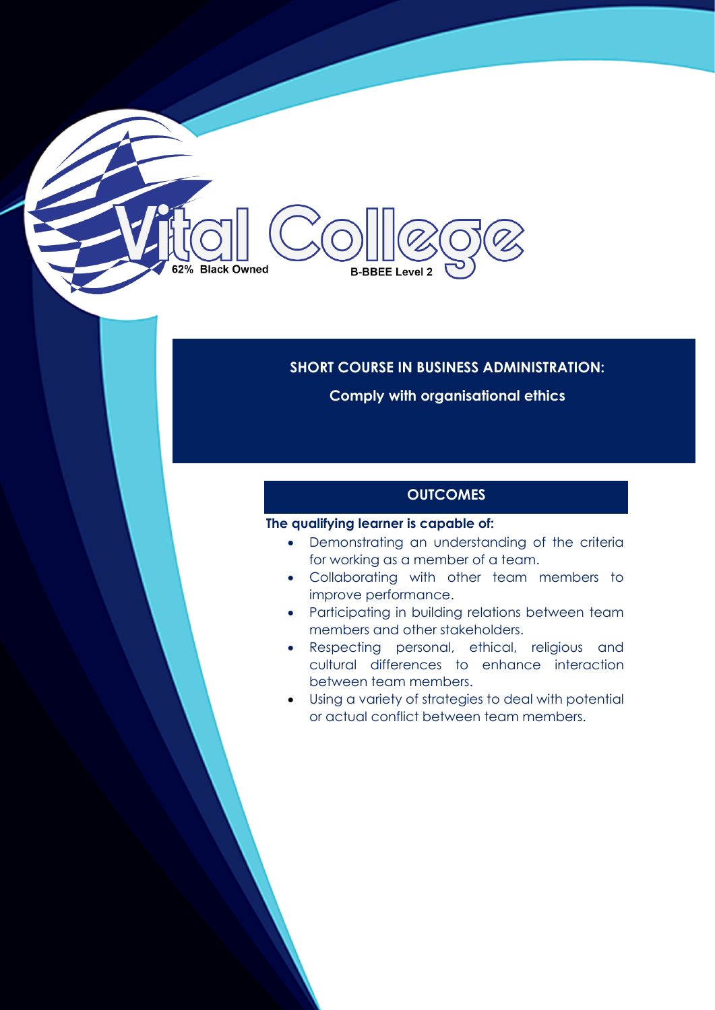# 62% Black Owned **B-BBEE Level 2**

#### **SHORT COURSE IN BUSINESS ADMINISTRATION:**

**Comply with organisational ethics** 

## **OUTCOMES**

#### **The qualifying learner is capable of:**

- Demonstrating an understanding of the criteria for working as a member of a team.
- Collaborating with other team members to improve performance.
- Participating in building relations between team members and other stakeholders.
- Respecting personal, ethical, religious and cultural differences to enhance interaction between team members.
- Using a variety of strategies to deal with potential or actual conflict between team members.